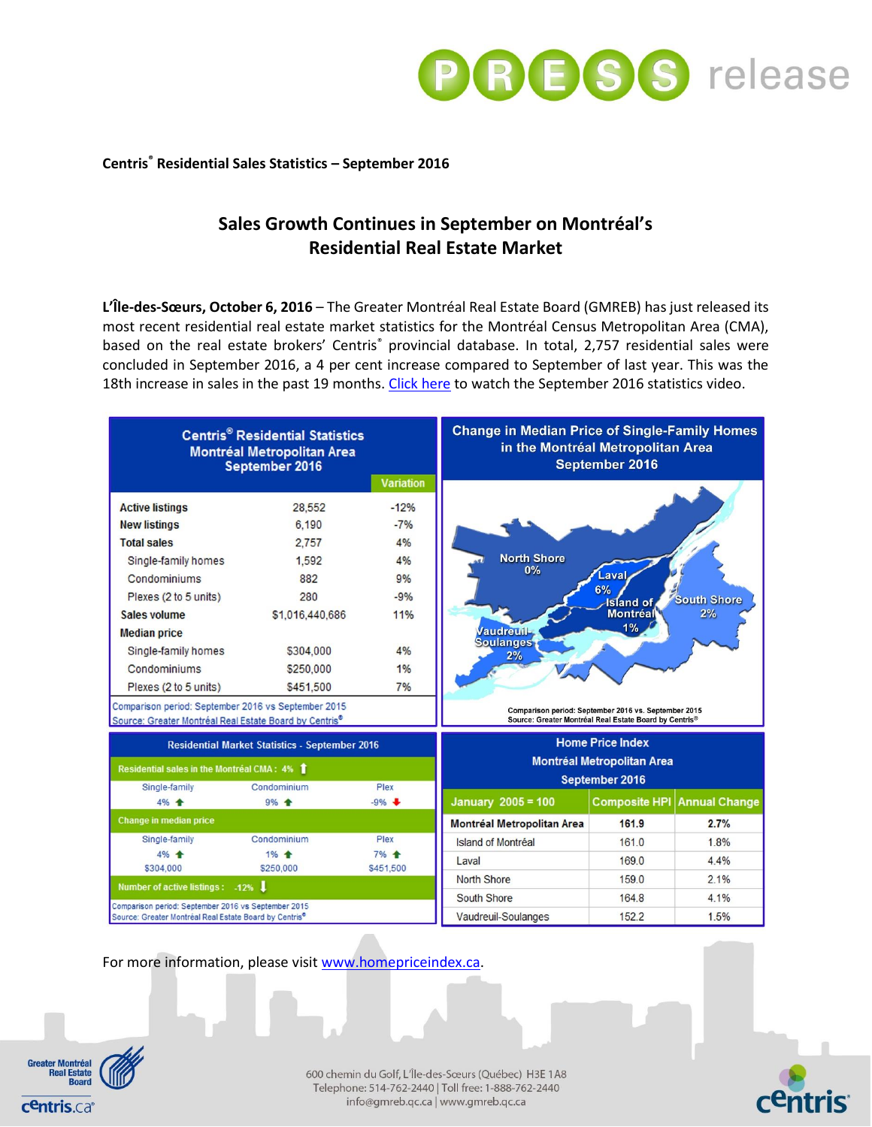

## **Centris® Residential Sales Statistics – September 2016**

# **Sales Growth Continues in September on Montréal's Residential Real Estate Market**

**L'Île-des-Sœurs, October 6, 2016** – The Greater Montréal Real Estate Board (GMREB) has just released its most recent residential real estate market statistics for the Montréal Census Metropolitan Area (CMA), based on the real estate brokers' Centris<sup>®</sup> provincial database. In total, 2,757 residential sales were concluded in September 2016, a 4 per cent increase compared to September of last year. This was the 18th increase in sales in the past 19 months. [Click here](https://youtu.be/Sl9KEOFwI2w) to watch the September 2016 statistics video.

| <b>Centris<sup>®</sup> Residential Statistics</b><br><b>Montréal Metropolitan Area</b><br>September 2016                  |                 |                  | <b>Change in Median Price of Single-Family Homes</b><br>in the Montréal Metropolitan Area<br>September 2016                                              |                      |                      |  |
|---------------------------------------------------------------------------------------------------------------------------|-----------------|------------------|----------------------------------------------------------------------------------------------------------------------------------------------------------|----------------------|----------------------|--|
|                                                                                                                           |                 | <b>Variation</b> |                                                                                                                                                          |                      |                      |  |
| <b>Active listings</b>                                                                                                    | 28,552          | $-12%$           | <b>North Shore</b><br>0%<br>Laval<br>6%<br><b>South Shore</b><br><b>Island of</b><br>Montréal<br>2%<br>1%<br><b>Vaudreuil-</b><br><b>Soulanges</b><br>2% |                      |                      |  |
| <b>New listings</b>                                                                                                       | 6.190           | $-7%$            |                                                                                                                                                          |                      |                      |  |
| <b>Total sales</b>                                                                                                        | 2.757           | 4%               |                                                                                                                                                          |                      |                      |  |
| Single-family homes                                                                                                       | 1.592           | 4%               |                                                                                                                                                          |                      |                      |  |
| Condominiums                                                                                                              | 882             | 9%               |                                                                                                                                                          |                      |                      |  |
| Plexes (2 to 5 units)                                                                                                     | 280             | $-9%$            |                                                                                                                                                          |                      |                      |  |
| Sales volume                                                                                                              | \$1,016,440,686 | 11%              |                                                                                                                                                          |                      |                      |  |
| <b>Median price</b>                                                                                                       |                 |                  |                                                                                                                                                          |                      |                      |  |
| Single-family homes                                                                                                       | \$304,000       | 4%               |                                                                                                                                                          |                      |                      |  |
| Condominiums                                                                                                              | \$250,000       | 1%               |                                                                                                                                                          |                      |                      |  |
| Plexes (2 to 5 units)                                                                                                     | \$451,500       | 7%               |                                                                                                                                                          |                      |                      |  |
| Comparison period: September 2016 vs September 2015<br>Source: Greater Montréal Real Estate Board by Centris®             |                 |                  | Comparison period: September 2016 vs. September 2015<br>Source: Greater Montréal Real Estate Board by Centris®                                           |                      |                      |  |
| <b>Residential Market Statistics - September 2016</b>                                                                     |                 |                  | <b>Home Price Index</b><br><b>Montréal Metropolitan Area</b>                                                                                             |                      |                      |  |
| Residential sales in the Montréal CMA: 4%                                                                                 |                 |                  |                                                                                                                                                          |                      |                      |  |
| Single-family                                                                                                             | Condominium     | Plex             |                                                                                                                                                          | September 2016       |                      |  |
| 4% +                                                                                                                      | 9% +            | $-9%$            | <b>January 2005 = 100</b>                                                                                                                                | <b>Composite HPI</b> | <b>Annual Change</b> |  |
| <b>Change in median price</b>                                                                                             |                 |                  | <b>Montréal Metropolitan Area</b>                                                                                                                        | 161.9                | 2.7%                 |  |
| Single-family                                                                                                             | Condominium     | Plex             | Island of Montréal                                                                                                                                       | 161.0                | 1.8%                 |  |
| 4% 全                                                                                                                      | 1% +            | 7% +             | Laval                                                                                                                                                    | 169.0                | 4.4%                 |  |
| \$304,000                                                                                                                 | \$250,000       | \$451,500        | <b>North Shore</b>                                                                                                                                       | 1590                 | 2.1%                 |  |
| Number of active listings: -12%                                                                                           |                 |                  | South Shore                                                                                                                                              | 164.8                | 4.1%                 |  |
| Comparison period: September 2016 vs September 2015<br>Source: Greater Montréal Real Estate Board by Centris <sup>®</sup> |                 |                  | Vaudreuil-Soulanges                                                                                                                                      | 152.2                | 1.5%                 |  |

For more information, please visi[t www.homepriceindex.ca.](http://www.homepriceindex.ca/)



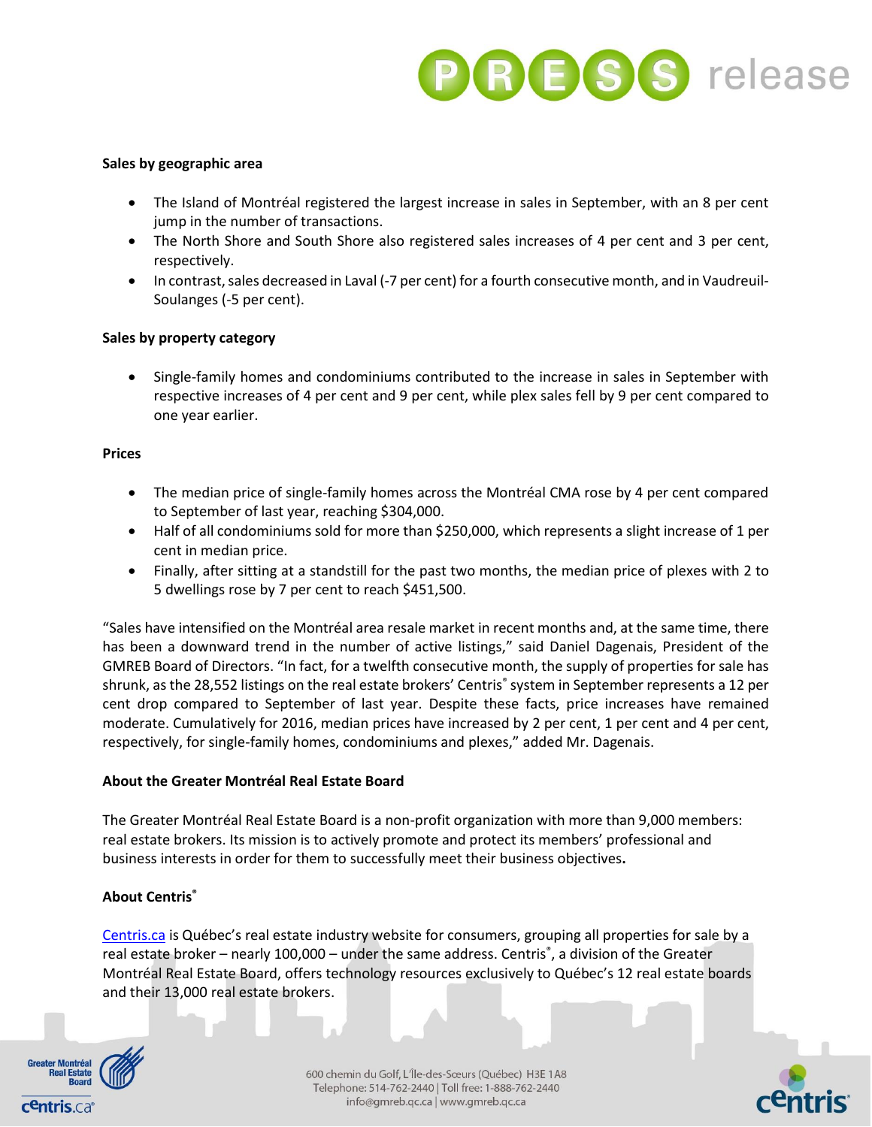

## **Sales by geographic area**

- The Island of Montréal registered the largest increase in sales in September, with an 8 per cent jump in the number of transactions.
- The North Shore and South Shore also registered sales increases of 4 per cent and 3 per cent, respectively.
- In contrast, sales decreased in Laval (-7 per cent) for a fourth consecutive month, and in Vaudreuil-Soulanges (-5 per cent).

## **Sales by property category**

 Single-family homes and condominiums contributed to the increase in sales in September with respective increases of 4 per cent and 9 per cent, while plex sales fell by 9 per cent compared to one year earlier.

#### **Prices**

- The median price of single-family homes across the Montréal CMA rose by 4 per cent compared to September of last year, reaching \$304,000.
- Half of all condominiums sold for more than \$250,000, which represents a slight increase of 1 per cent in median price.
- Finally, after sitting at a standstill for the past two months, the median price of plexes with 2 to 5 dwellings rose by 7 per cent to reach \$451,500.

"Sales have intensified on the Montréal area resale market in recent months and, at the same time, there has been a downward trend in the number of active listings," said Daniel Dagenais, President of the GMREB Board of Directors. "In fact, for a twelfth consecutive month, the supply of properties for sale has shrunk, as the 28,552 listings on the real estate brokers' Centris® system in September represents a 12 per cent drop compared to September of last year. Despite these facts, price increases have remained moderate. Cumulatively for 2016, median prices have increased by 2 per cent, 1 per cent and 4 per cent, respectively, for single-family homes, condominiums and plexes," added Mr. Dagenais.

#### **About the Greater Montréal Real Estate Board**

The Greater Montréal Real Estate Board is a non-profit organization with more than 9,000 members: real estate brokers. Its mission is to actively promote and protect its members' professional and business interests in order for them to successfully meet their business objectives**.**

# **About Centris®**

[Centris.ca](http://www.centris.ca/en/) is Québec's real estate industry website for consumers, grouping all properties for sale by a real estate broker – nearly 100,000 – under the same address. Centris<sup>®</sup>, a division of the Greater Montréal Real Estate Board, offers technology resources exclusively to Québec's 12 real estate boards and their 13,000 real estate brokers.



600 chemin du Golf, L'Île-des-Sœurs (Québec) H3E 1A8 Telephone: 514-762-2440 | Toll free: 1-888-762-2440 info@gmreb.qc.ca | www.gmreb.qc.ca